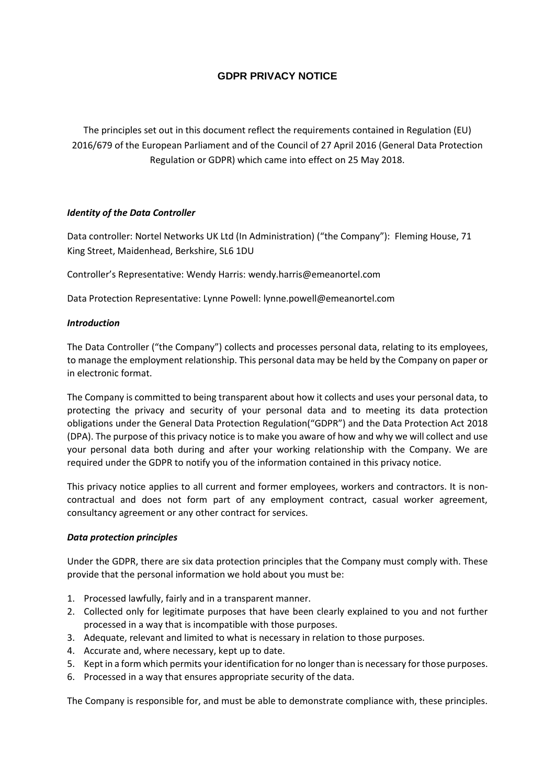# **GDPR PRIVACY NOTICE**

The principles set out in this document reflect the requirements contained in Regulation (EU) 2016/679 of the European Parliament and of the Council of 27 April 2016 (General Data Protection Regulation or GDPR) which came into effect on 25 May 2018.

### *Identity of the Data Controller*

Data controller: Nortel Networks UK Ltd (In Administration) ("the Company"): Fleming House, 71 King Street, Maidenhead, Berkshire, SL6 1DU

Controller's Representative: Wendy Harris: wendy.harris@emeanortel.com

Data Protection Representative: Lynne Powell: lynne.powell@emeanortel.com

### *Introduction*

The Data Controller ("the Company") collects and processes personal data, relating to its employees, to manage the employment relationship. This personal data may be held by the Company on paper or in electronic format.

The Company is committed to being transparent about how it collects and uses your personal data, to protecting the privacy and security of your personal data and to meeting its data protection obligations under the General Data Protection Regulation("GDPR") and the Data Protection Act 2018 (DPA). The purpose of this privacy notice is to make you aware of how and why we will collect and use your personal data both during and after your working relationship with the Company. We are required under the GDPR to notify you of the information contained in this privacy notice.

This privacy notice applies to all current and former employees, workers and contractors. It is noncontractual and does not form part of any employment contract, casual worker agreement, consultancy agreement or any other contract for services.

### *Data protection principles*

Under the GDPR, there are six data protection principles that the Company must comply with. These provide that the personal information we hold about you must be:

- 1. Processed lawfully, fairly and in a transparent manner.
- 2. Collected only for legitimate purposes that have been clearly explained to you and not further processed in a way that is incompatible with those purposes.
- 3. Adequate, relevant and limited to what is necessary in relation to those purposes.
- 4. Accurate and, where necessary, kept up to date.
- 5. Kept in a form which permits your identification for no longer than is necessary for those purposes.
- 6. Processed in a way that ensures appropriate security of the data.

The Company is responsible for, and must be able to demonstrate compliance with, these principles.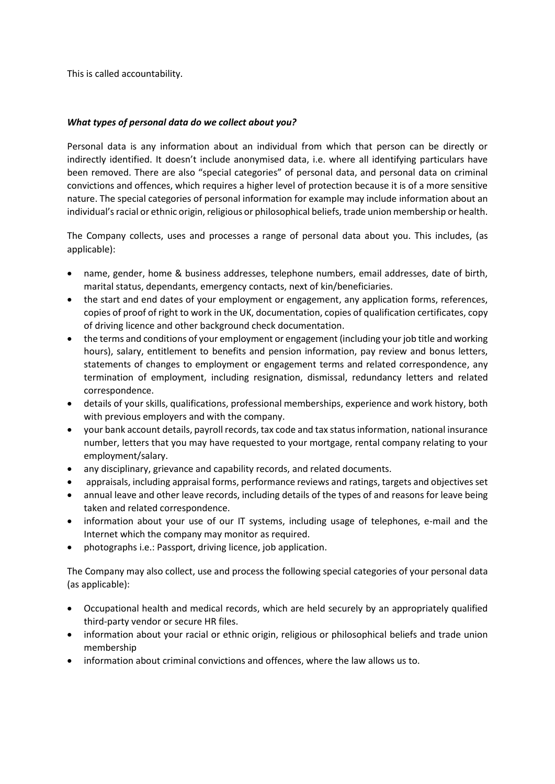This is called accountability.

### *What types of personal data do we collect about you?*

Personal data is any information about an individual from which that person can be directly or indirectly identified. It doesn't include anonymised data, i.e. where all identifying particulars have been removed. There are also "special categories" of personal data, and personal data on criminal convictions and offences, which requires a higher level of protection because it is of a more sensitive nature. The special categories of personal information for example may include information about an individual's racial or ethnic origin, religious or philosophical beliefs, trade union membership or health.

The Company collects, uses and processes a range of personal data about you. This includes, (as applicable):

- name, gender, home & business addresses, telephone numbers, email addresses, date of birth, marital status, dependants, emergency contacts, next of kin/beneficiaries.
- the start and end dates of your employment or engagement, any application forms, references, copies of proof of right to work in the UK, documentation, copies of qualification certificates, copy of driving licence and other background check documentation.
- the terms and conditions of your employment or engagement (including your job title and working hours), salary, entitlement to benefits and pension information, pay review and bonus letters, statements of changes to employment or engagement terms and related correspondence, any termination of employment, including resignation, dismissal, redundancy letters and related correspondence.
- details of your skills, qualifications, professional memberships, experience and work history, both with previous employers and with the company.
- your bank account details, payroll records, tax code and tax status information, national insurance number, letters that you may have requested to your mortgage, rental company relating to your employment/salary.
- any disciplinary, grievance and capability records, and related documents.
- appraisals, including appraisal forms, performance reviews and ratings, targets and objectives set
- annual leave and other leave records, including details of the types of and reasons for leave being taken and related correspondence.
- information about your use of our IT systems, including usage of telephones, e-mail and the Internet which the company may monitor as required.
- photographs i.e.: Passport, driving licence, job application.

The Company may also collect, use and process the following special categories of your personal data (as applicable):

- Occupational health and medical records, which are held securely by an appropriately qualified third-party vendor or secure HR files.
- information about your racial or ethnic origin, religious or philosophical beliefs and trade union membership
- information about criminal convictions and offences, where the law allows us to.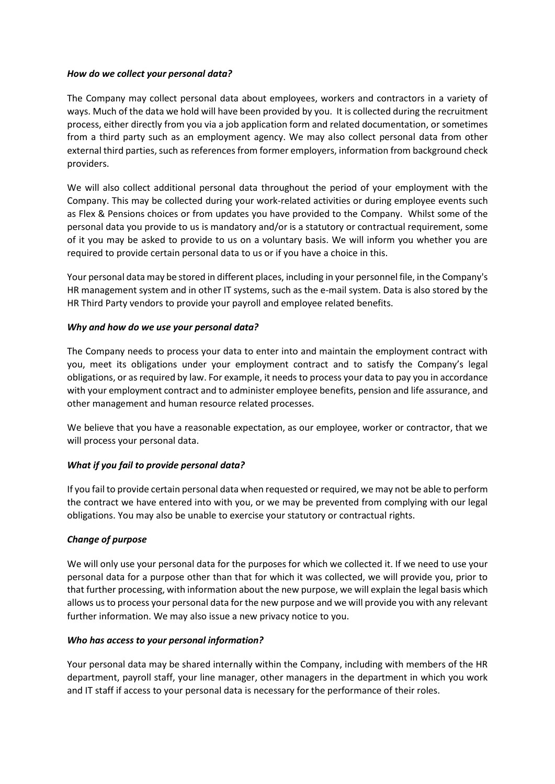### *How do we collect your personal data?*

The Company may collect personal data about employees, workers and contractors in a variety of ways. Much of the data we hold will have been provided by you. It is collected during the recruitment process, either directly from you via a job application form and related documentation, or sometimes from a third party such as an employment agency. We may also collect personal data from other external third parties, such as references from former employers, information from background check providers.

We will also collect additional personal data throughout the period of your employment with the Company. This may be collected during your work-related activities or during employee events such as Flex & Pensions choices or from updates you have provided to the Company. Whilst some of the personal data you provide to us is mandatory and/or is a statutory or contractual requirement, some of it you may be asked to provide to us on a voluntary basis. We will inform you whether you are required to provide certain personal data to us or if you have a choice in this.

Your personal data may be stored in different places, including in your personnel file, in the Company's HR management system and in other IT systems, such as the e-mail system. Data is also stored by the HR Third Party vendors to provide your payroll and employee related benefits.

### *Why and how do we use your personal data?*

The Company needs to process your data to enter into and maintain the employment contract with you, meet its obligations under your employment contract and to satisfy the Company's legal obligations, or as required by law. For example, it needs to process your data to pay you in accordance with your employment contract and to administer employee benefits, pension and life assurance, and other management and human resource related processes.

We believe that you have a reasonable expectation, as our employee, worker or contractor, that we will process your personal data.

# *What if you fail to provide personal data?*

If you fail to provide certain personal data when requested or required, we may not be able to perform the contract we have entered into with you, or we may be prevented from complying with our legal obligations. You may also be unable to exercise your statutory or contractual rights.

# *Change of purpose*

We will only use your personal data for the purposes for which we collected it. If we need to use your personal data for a purpose other than that for which it was collected, we will provide you, prior to that further processing, with information about the new purpose, we will explain the legal basis which allows us to process your personal data for the new purpose and we will provide you with any relevant further information. We may also issue a new privacy notice to you.

# *Who has access to your personal information?*

Your personal data may be shared internally within the Company, including with members of the HR department, payroll staff, your line manager, other managers in the department in which you work and IT staff if access to your personal data is necessary for the performance of their roles.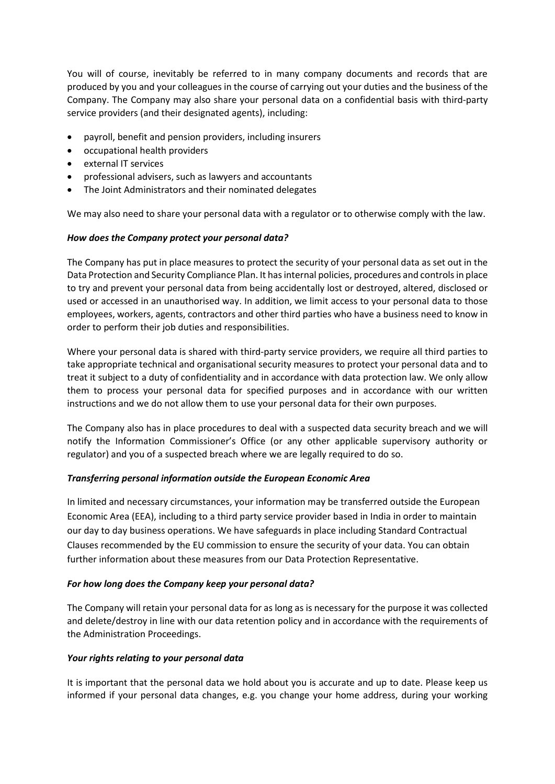You will of course, inevitably be referred to in many company documents and records that are produced by you and your colleagues in the course of carrying out your duties and the business of the Company. The Company may also share your personal data on a confidential basis with third-party service providers (and their designated agents), including:

- payroll, benefit and pension providers, including insurers
- occupational health providers
- external IT services
- professional advisers, such as lawyers and accountants
- The Joint Administrators and their nominated delegates

We may also need to share your personal data with a regulator or to otherwise comply with the law.

### *How does the Company protect your personal data?*

The Company has put in place measures to protect the security of your personal data as set out in the Data Protection and Security Compliance Plan. It has internal policies, procedures and controls in place to try and prevent your personal data from being accidentally lost or destroyed, altered, disclosed or used or accessed in an unauthorised way. In addition, we limit access to your personal data to those employees, workers, agents, contractors and other third parties who have a business need to know in order to perform their job duties and responsibilities.

Where your personal data is shared with third-party service providers, we require all third parties to take appropriate technical and organisational security measures to protect your personal data and to treat it subject to a duty of confidentiality and in accordance with data protection law. We only allow them to process your personal data for specified purposes and in accordance with our written instructions and we do not allow them to use your personal data for their own purposes.

The Company also has in place procedures to deal with a suspected data security breach and we will notify the Information Commissioner's Office (or any other applicable supervisory authority or regulator) and you of a suspected breach where we are legally required to do so.

### *Transferring personal information outside the European Economic Area*

In limited and necessary circumstances, your information may be transferred outside the European Economic Area (EEA), including to a third party service provider based in India in order to maintain our day to day business operations. We have safeguards in place including Standard Contractual Clauses recommended by the EU commission to ensure the security of your data. You can obtain further information about these measures from our Data Protection Representative.

### *For how long does the Company keep your personal data?*

The Company will retain your personal data for as long as is necessary for the purpose it was collected and delete/destroy in line with our data retention policy and in accordance with the requirements of the Administration Proceedings.

### *Your rights relating to your personal data*

It is important that the personal data we hold about you is accurate and up to date. Please keep us informed if your personal data changes, e.g. you change your home address, during your working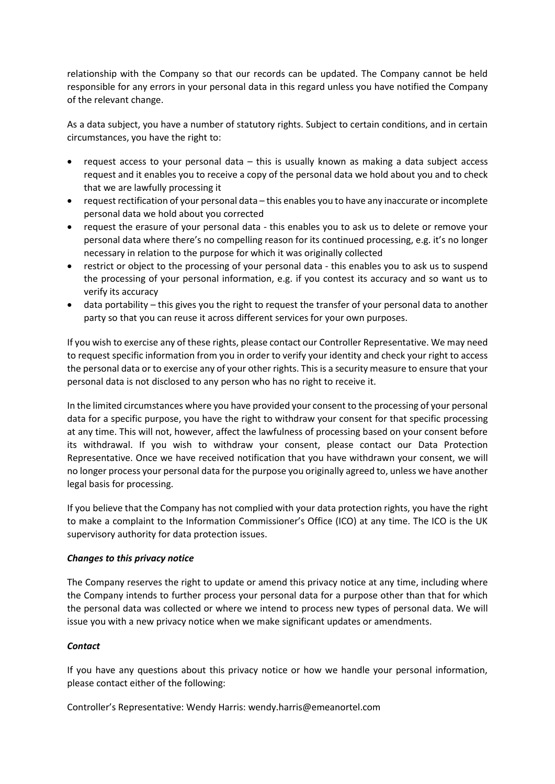relationship with the Company so that our records can be updated. The Company cannot be held responsible for any errors in your personal data in this regard unless you have notified the Company of the relevant change.

As a data subject, you have a number of statutory rights. Subject to certain conditions, and in certain circumstances, you have the right to:

- request access to your personal data this is usually known as making a data subject access request and it enables you to receive a copy of the personal data we hold about you and to check that we are lawfully processing it
- request rectification of your personal data this enables you to have any inaccurate or incomplete personal data we hold about you corrected
- request the erasure of your personal data this enables you to ask us to delete or remove your personal data where there's no compelling reason for its continued processing, e.g. it's no longer necessary in relation to the purpose for which it was originally collected
- restrict or object to the processing of your personal data this enables you to ask us to suspend the processing of your personal information, e.g. if you contest its accuracy and so want us to verify its accuracy
- data portability this gives you the right to request the transfer of your personal data to another party so that you can reuse it across different services for your own purposes.

If you wish to exercise any of these rights, please contact our Controller Representative. We may need to request specific information from you in order to verify your identity and check your right to access the personal data or to exercise any of your other rights. This is a security measure to ensure that your personal data is not disclosed to any person who has no right to receive it.

In the limited circumstances where you have provided your consent to the processing of your personal data for a specific purpose, you have the right to withdraw your consent for that specific processing at any time. This will not, however, affect the lawfulness of processing based on your consent before its withdrawal. If you wish to withdraw your consent, please contact our Data Protection Representative. Once we have received notification that you have withdrawn your consent, we will no longer process your personal data for the purpose you originally agreed to, unless we have another legal basis for processing.

If you believe that the Company has not complied with your data protection rights, you have the right to make a complaint to the Information Commissioner's Office (ICO) at any time. The ICO is the UK supervisory authority for data protection issues.

### *Changes to this privacy notice*

The Company reserves the right to update or amend this privacy notice at any time, including where the Company intends to further process your personal data for a purpose other than that for which the personal data was collected or where we intend to process new types of personal data. We will issue you with a new privacy notice when we make significant updates or amendments.

# *Contact*

If you have any questions about this privacy notice or how we handle your personal information, please contact either of the following:

Controller's Representative: Wendy Harris: wendy.harris@emeanortel.com